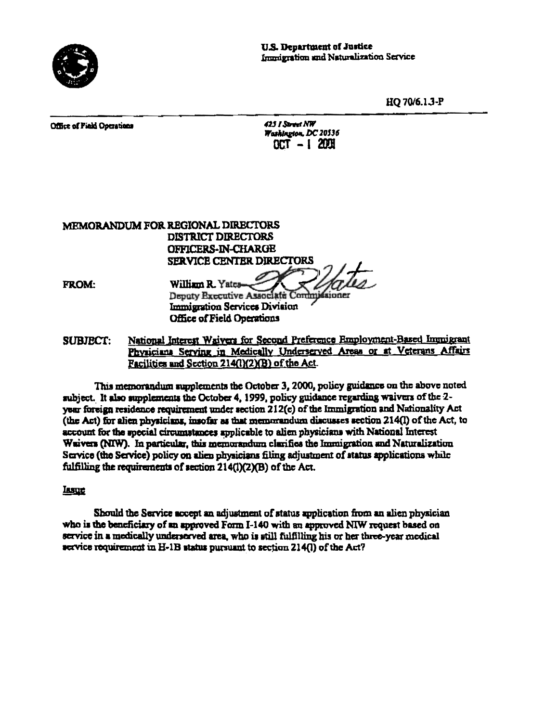

HQ 70/6.1.3-P

Office of Pield Operations

| 425 I Street NW      |  |              |
|----------------------|--|--------------|
| Washington, DC 20536 |  |              |
|                      |  | OCT - 1 2001 |

MEMORANDUM FOR REGIONAL DIRECTORS **DISTRICT DIRECTORS** OFFICERS-IN-CHARGE SERVICE CENTER DIRECTORS William R. Yatca-**FROM:** Deputy Executive Associate Commissioner Immigration Services Division **Office of Field Operations** 

National Interest Waivers for Second Preference Employment-Based Immigrant **SUBJECT:** Physiciana Serving in Medically Underserved Areas or at Veterans Affairs Facilities and Section 214(1)(2)(B) of the Act.

This memorandum supplements the October 3, 2000, policy guidance on the above noted subject. It also supplements the October 4, 1999, policy guidance regarding waivers of the 2vear foreign residence requirement under section 212(c) of the Immigration and Nationality Act (the Act) for alien physicians, insofar as that memorandum discusses section 214(I) of the Act, to account for the special circumstances applicable to alien physicians with National Interest Waivers (NIW). In particular, this memorandum clarifies the Immigration and Naturalization Service (the Service) policy on alien physicians filing adjustment of status applications while fulfilling the requirements of section 214(l)(2)(B) of the Act.

## Issue

Should the Service accept an adjustment of status application from an alien physician who is the beneficiary of an approved Form I-140 with an approved NIW request based on service in a medically underserved area, who is still fulfilling his or her three-year medical service requirement in H-1B status pursuant to section 214(1) of the Act?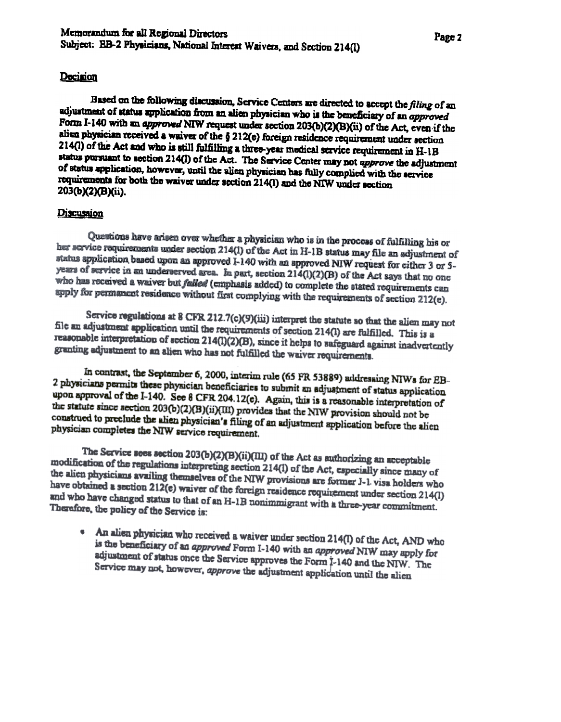## Decision

Based on the following discussion, Service Centers are directed to accept the filing of an adjustment of status application from an alien physician who is the beneficiary of an approved Form I-140 with an approved NIW request under section 203(b)(2)(B)(ii) of the Act, even if the alien physician received a waiver of the § 212(e) foreign residence requirement under section 214(1) of the Act and who is still fulfilling a three-year medical service requirement in H-1B status pursuant to acction 214(I) of the Act. The Service Center may not approve the adjustment of status application, however, until the alien physician has fully complied with the service requirements for both the waiver under section 214(1) and the NIW under section 203(b)(2)(B)(ii).

## Discussion

Questions have arisen over whether a physician who is in the process of fulfilling his or her service requirements under section 214(1) of the Act in H-1B status may file an adjustment of status application based upon an approved 1-140 with an approved NIW request for either 3 or 5years of service in an underserved area. In part, section 214(1)(2)(B) of the Act says that no one who has received a waiver but failed (emphasis added) to complete the stated requirements can apply for permanent residence without first complying with the requirements of section 212(e).

Service regulations at 8 CFR 212.7(c)(9)(iii) interpret the statute so that the alien may not file an adjustment application until the requirements of section 214(l) are fulfilled. This is a reasonable interpretation of section 214(I)(2)(B), since it helps to safeguard against inadvertently granting adjustment to an alien who has not fulfilled the waiver requirements.

In contrast, the September 6, 2000, interim rule (65 FR 53889) addressing NIWs for EB-2 physicians permits these physician beneficiaries to submit an adjustment of status application upon approval of the I-140. See 8 CFR 204.12(e). Again, this is a reasonable interpretation of the statute since section 203(b)(2)(B)(ii)(III) provides that the NIW provision should not be construed to preclude the alien physician's filing of an adjustment application before the alien physician completes the NIW service requirement.

The Service sees section 203(b)(2)(B)(ii)(III) of the Act as authorizing an acceptable modification of the regulations interpreting section 214(l) of the Act, especially since many of the alien physicians availing themselves of the NIW provisions are former J-1 visa holders who have obtained a section 212(e) waiver of the foreign residence requirement under section 214(l) and who have changed status to that of an H-1B nonimmigrant with a three-year commitment. Therefore, the policy of the Service is:

An alien physician who received a waiver under section 214(1) of the Act, AND who is the beneficiary of an approved Form I-140 with an approved NIW may apply for adjustment of status once the Service approves the Form I-140 and the NIW. The Service may not, however, approve the adjustment application until the alien